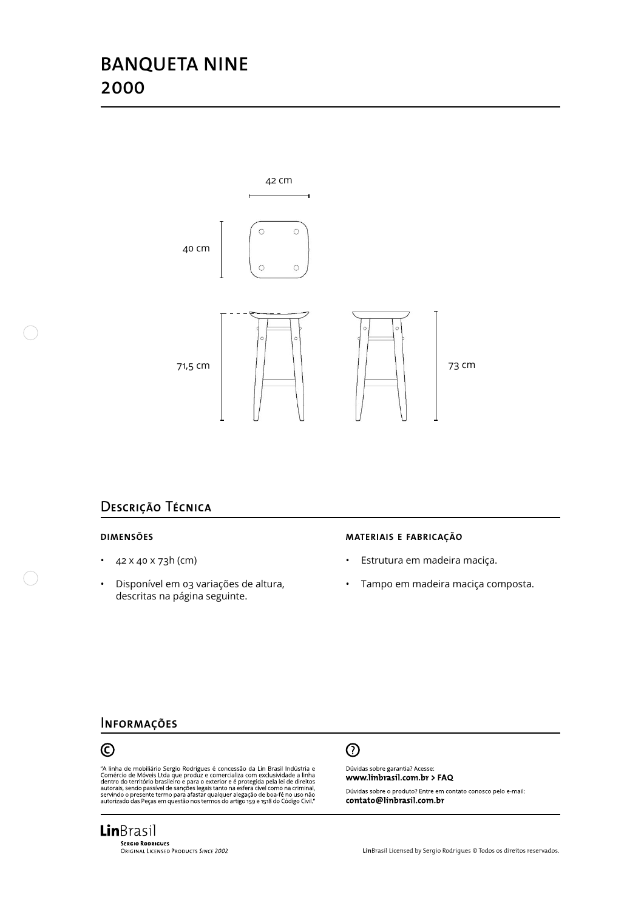# **BANQUETA NINE 2000**



## D**escrição** T**écnica**

#### **dimensões**

- $42 \times 40 \times 73h$  (cm)
- • Disponível em 03 variações de altura, descritas na página seguinte.

#### **materiais e fabricação**

- • Estrutura em madeira maciça.
- • Tampo em madeira maciça composta.

### I**nformações**



"A linha de mobiliário Sergio Rodrigues é concessão da Lin Brasil Indústria e Comércio de Móveis Ltda que produz e comercializa com exclusividade a linha dentro do território brasileiro e para o exterior e é protegida pela

# $\odot$

Dúvidas sobre garantia? Acesse: www.linbrasil.com.br > FAQ

Dúvidas sobre o produto? Entre em contato conosco pelo e-mail: contato@linbrasil.com.br

**Lin**Brasil **SERGIO RODRIGUES**<br>ORIGINAL LICENSED PRODUCTS SINCE 2002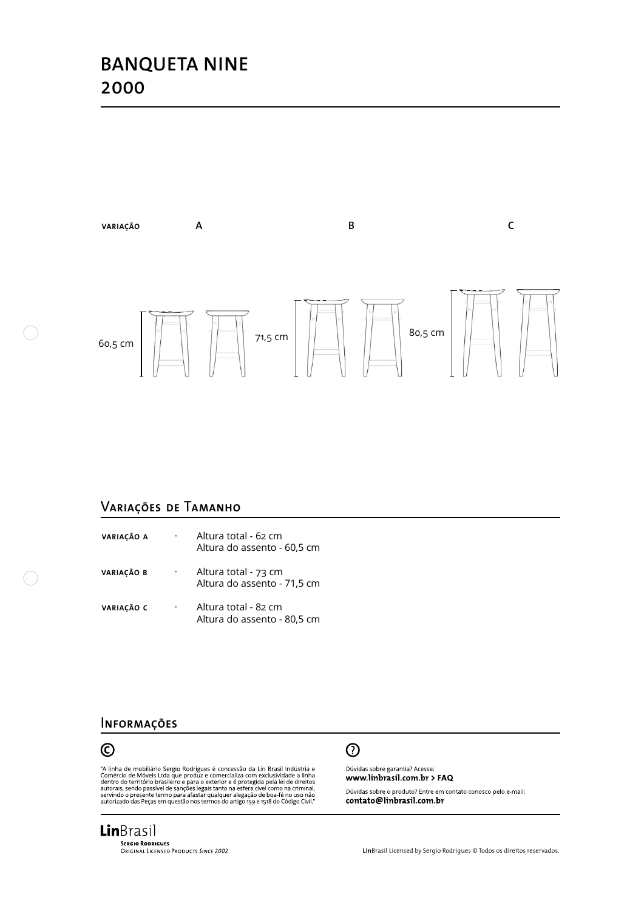# **BANQUETA NINE 2000**



## V**ariações de** T**amanho**

| VARIACÃO A | ٠         | Altura total - 62 cm<br>Altura do assento - 60,5 cm |
|------------|-----------|-----------------------------------------------------|
| VARIAÇÃO B | $\bullet$ | Altura total - 73 cm<br>Altura do assento - 71,5 cm |
| VARIAÇÃO C | ٠         | Altura total - 82 cm<br>Altura do assento - 80,5 cm |

### I**nformações**



"A linha de mobiliário Sergio Rodrigues é concessão da Lin Brasil Indústria e Comércio de Móveis Ltda que produz e comercializa com exclusividade a linha dentro do território brasileiro e para o exterior e é protegida pela



Dúvidas sobre garantia? Acesse: www.linbrasil.com.br > FAQ

Dúvidas sobre o produto? Entre em contato conosco pelo e-mail: contato@linbrasil.com.br

**Lin**Brasil **SERGIO RODRIGUES**<br>ORIGINAL LICENSED PRODUCTS SINCE 2002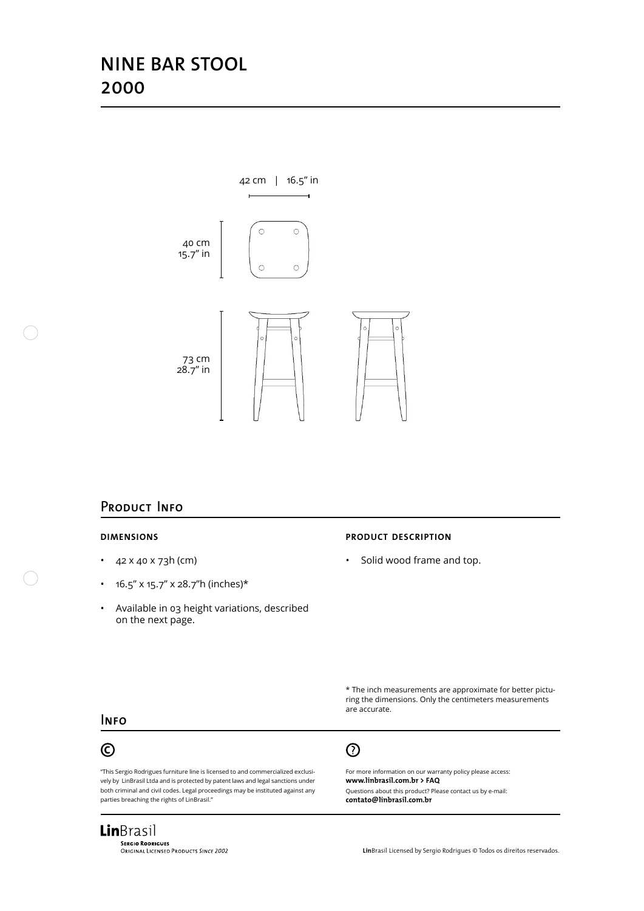# **NINE BAR STOOL 2000**



### P**roduct** I**nfo**

#### **dimensions**

- $42 \times 40 \times 73h$  (cm)
- $16.5''$  x 15.7" x 28.7"h (inches)\*
- • Available in 03 height variations, described on the next page.

#### **product description**

• Solid wood frame and top.

\* The inch measurements are approximate for better picturing the dimensions. Only the centimeters measurements are accurate.

#### I**nfo**

## $\odot$

"This Sergio Rodrigues furniture line is licensed to and commercialized exclusively by LinBrasil Ltda and is protected by patent laws and legal sanctions under both criminal and civil codes. Legal proceedings may be instituted against any parties breaching the rights of LinBrasil."

# $\odot$

For more information on our warranty policy please access: **www.linbrasil.com.br > FAQ** Questions about this product? Please contact us by e-mail:

**contato@linbrasil.com.br**

### **Lin**Brasil **SERGIO RODRIGUES**<br>ORIGINAL LICENSED PRODUCTS SINCE 2002